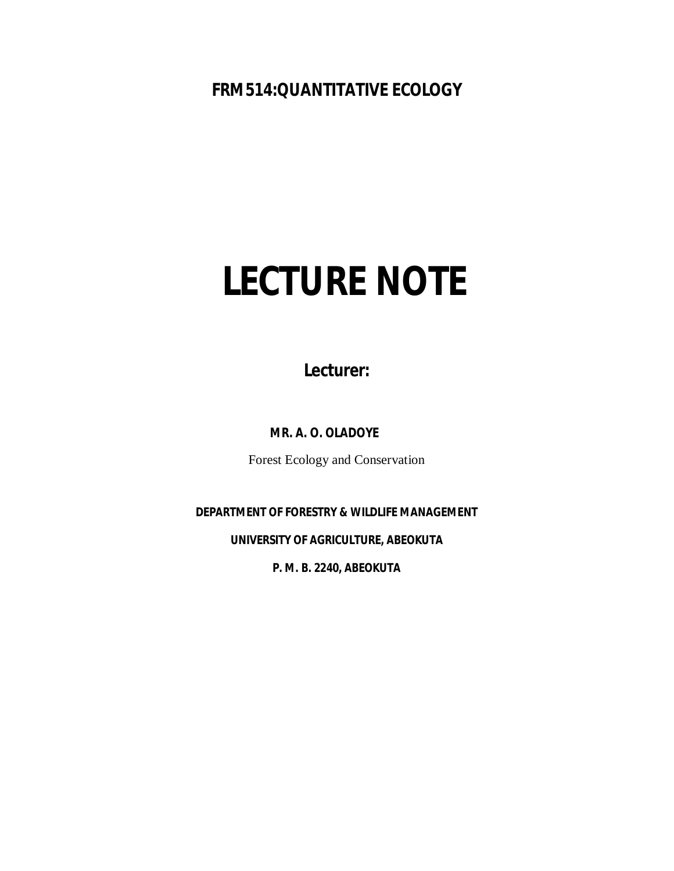# **FRM514:QUANTITATIVE ECOLOGY**

# **LECTURE NOTE**

**Lecturer:**

**MR. A. O. OLADOYE**

Forest Ecology and Conservation

**DEPARTMENT OF FORESTRY & WILDLIFE MANAGEMENT**

**UNIVERSITY OF AGRICULTURE, ABEOKUTA**

**P. M. B. 2240, ABEOKUTA**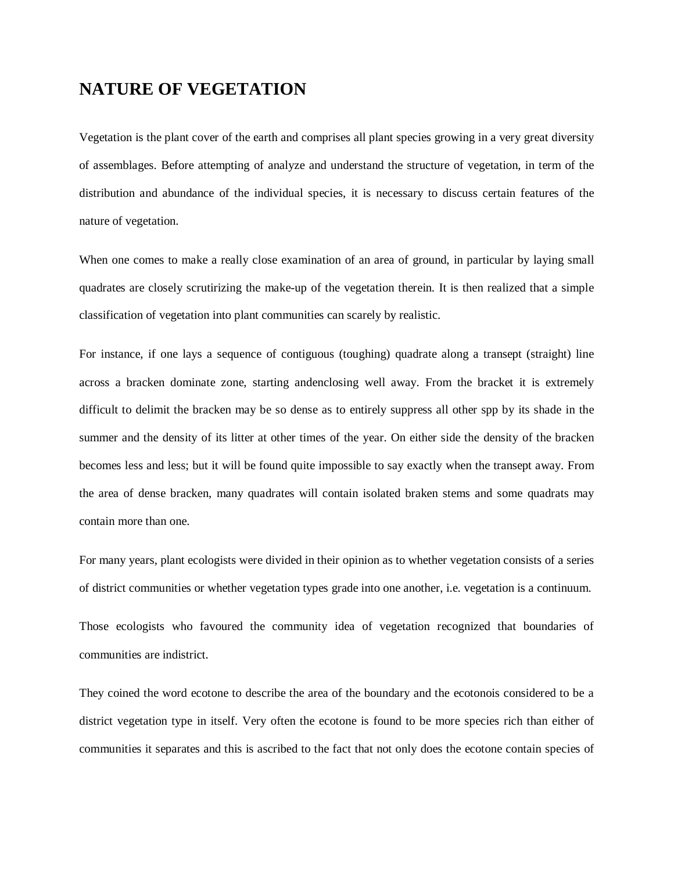# **NATURE OF VEGETATION**

Vegetation is the plant cover of the earth and comprises all plant species growing in a very great diversity of assemblages. Before attempting of analyze and understand the structure of vegetation, in term of the distribution and abundance of the individual species, it is necessary to discuss certain features of the nature of vegetation.

When one comes to make a really close examination of an area of ground, in particular by laying small quadrates are closely scrutirizing the make-up of the vegetation therein. It is then realized that a simple classification of vegetation into plant communities can scarely by realistic.

For instance, if one lays a sequence of contiguous (toughing) quadrate along a transept (straight) line across a bracken dominate zone, starting andenclosing well away. From the bracket it is extremely difficult to delimit the bracken may be so dense as to entirely suppress all other spp by its shade in the summer and the density of its litter at other times of the year. On either side the density of the bracken becomes less and less; but it will be found quite impossible to say exactly when the transept away. From the area of dense bracken, many quadrates will contain isolated braken stems and some quadrats may contain more than one.

For many years, plant ecologists were divided in their opinion as to whether vegetation consists of a series of district communities or whether vegetation types grade into one another, i.e. vegetation is a continuum.

Those ecologists who favoured the community idea of vegetation recognized that boundaries of communities are indistrict.

They coined the word ecotone to describe the area of the boundary and the ecotonois considered to be a district vegetation type in itself. Very often the ecotone is found to be more species rich than either of communities it separates and this is ascribed to the fact that not only does the ecotone contain species of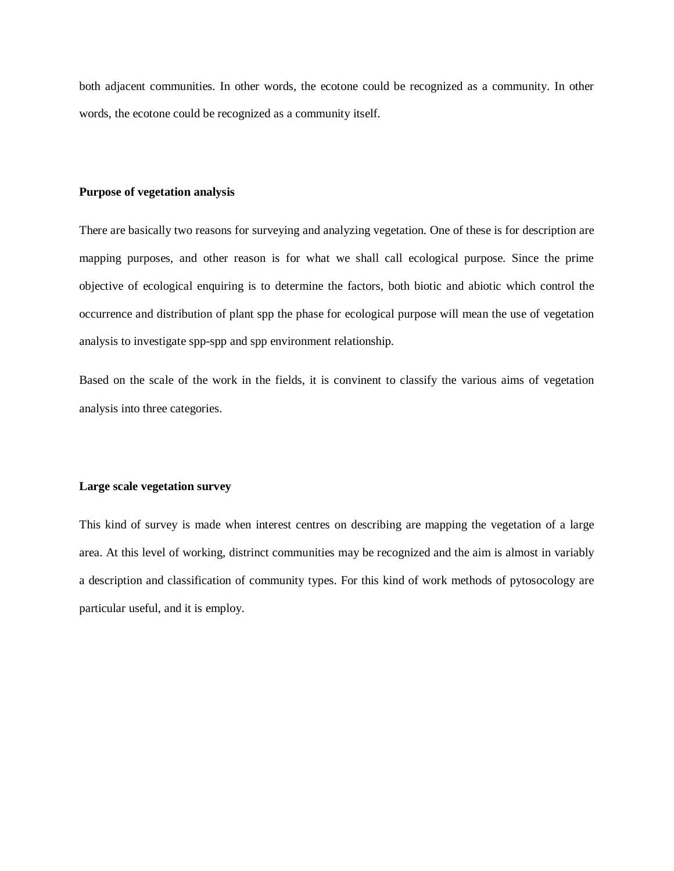both adjacent communities. In other words, the ecotone could be recognized as a community. In other words, the ecotone could be recognized as a community itself.

#### **Purpose of vegetation analysis**

There are basically two reasons for surveying and analyzing vegetation. One of these is for description are mapping purposes, and other reason is for what we shall call ecological purpose. Since the prime objective of ecological enquiring is to determine the factors, both biotic and abiotic which control the occurrence and distribution of plant spp the phase for ecological purpose will mean the use of vegetation analysis to investigate spp-spp and spp environment relationship.

Based on the scale of the work in the fields, it is convinent to classify the various aims of vegetation analysis into three categories.

#### **Large scale vegetation survey**

This kind of survey is made when interest centres on describing are mapping the vegetation of a large area. At this level of working, distrinct communities may be recognized and the aim is almost in variably a description and classification of community types. For this kind of work methods of pytosocology are particular useful, and it is employ.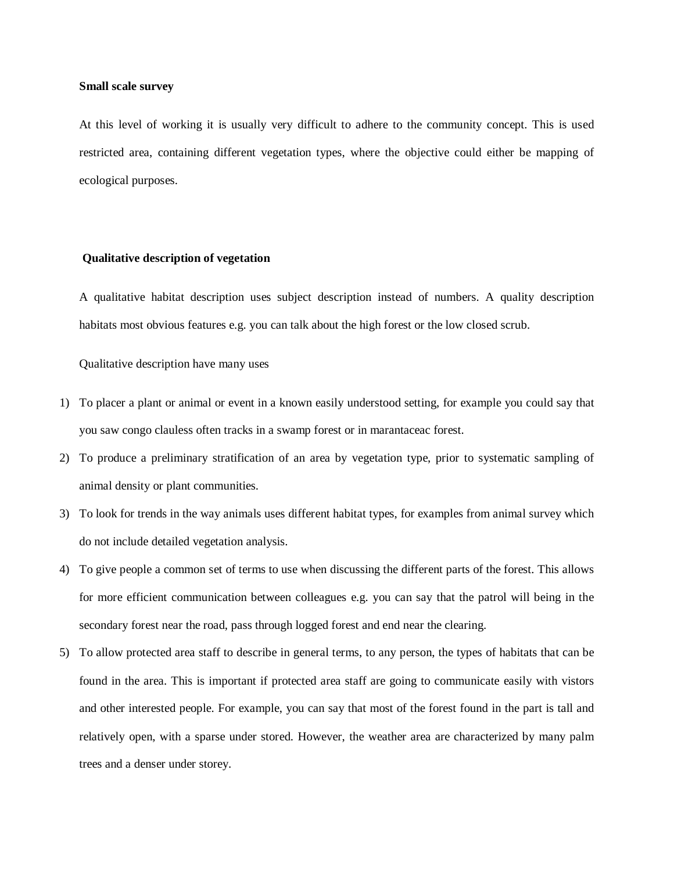#### **Small scale survey**

At this level of working it is usually very difficult to adhere to the community concept. This is used restricted area, containing different vegetation types, where the objective could either be mapping of ecological purposes.

#### **Qualitative description of vegetation**

A qualitative habitat description uses subject description instead of numbers. A quality description habitats most obvious features e.g. you can talk about the high forest or the low closed scrub.

Qualitative description have many uses

- 1) To placer a plant or animal or event in a known easily understood setting, for example you could say that you saw congo clauless often tracks in a swamp forest or in marantaceac forest.
- 2) To produce a preliminary stratification of an area by vegetation type, prior to systematic sampling of animal density or plant communities.
- 3) To look for trends in the way animals uses different habitat types, for examples from animal survey which do not include detailed vegetation analysis.
- 4) To give people a common set of terms to use when discussing the different parts of the forest. This allows for more efficient communication between colleagues e.g. you can say that the patrol will being in the secondary forest near the road, pass through logged forest and end near the clearing.
- 5) To allow protected area staff to describe in general terms, to any person, the types of habitats that can be found in the area. This is important if protected area staff are going to communicate easily with vistors and other interested people. For example, you can say that most of the forest found in the part is tall and relatively open, with a sparse under stored. However, the weather area are characterized by many palm trees and a denser under storey.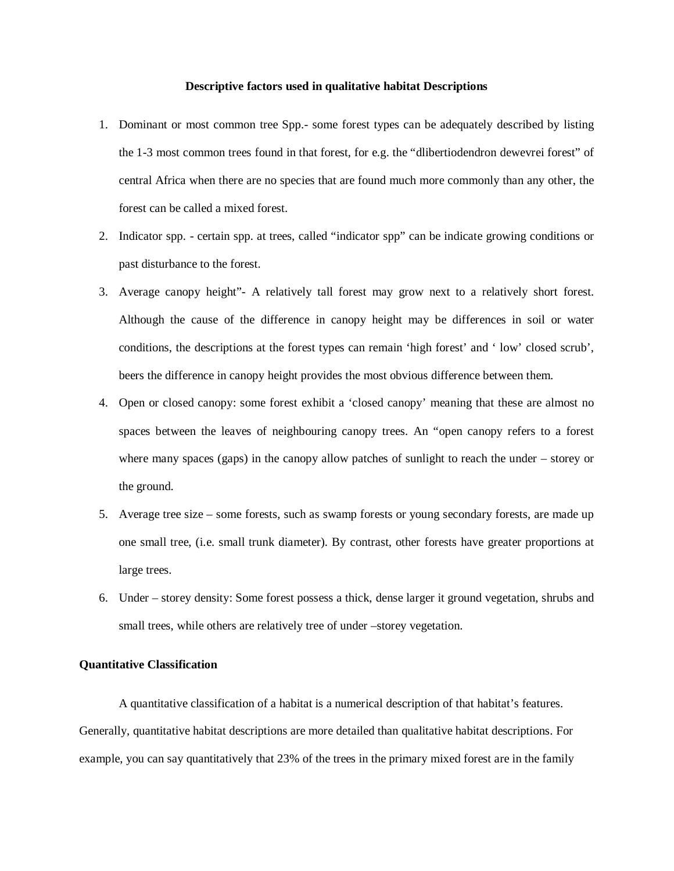#### **Descriptive factors used in qualitative habitat Descriptions**

- 1. Dominant or most common tree Spp.- some forest types can be adequately described by listing the 1-3 most common trees found in that forest, for e.g. the "dlibertiodendron dewevrei forest" of central Africa when there are no species that are found much more commonly than any other, the forest can be called a mixed forest.
- 2. Indicator spp. certain spp. at trees, called "indicator spp" can be indicate growing conditions or past disturbance to the forest.
- 3. Average canopy height"- A relatively tall forest may grow next to a relatively short forest. Although the cause of the difference in canopy height may be differences in soil or water conditions, the descriptions at the forest types can remain 'high forest' and ' low' closed scrub', beers the difference in canopy height provides the most obvious difference between them.
- 4. Open or closed canopy: some forest exhibit a 'closed canopy' meaning that these are almost no spaces between the leaves of neighbouring canopy trees. An "open canopy refers to a forest where many spaces (gaps) in the canopy allow patches of sunlight to reach the under – storey or the ground.
- 5. Average tree size some forests, such as swamp forests or young secondary forests, are made up one small tree, (i.e. small trunk diameter). By contrast, other forests have greater proportions at large trees.
- 6. Under storey density: Some forest possess a thick, dense larger it ground vegetation, shrubs and small trees, while others are relatively tree of under –storey vegetation.

# **Quantitative Classification**

A quantitative classification of a habitat is a numerical description of that habitat's features. Generally, quantitative habitat descriptions are more detailed than qualitative habitat descriptions. For example, you can say quantitatively that 23% of the trees in the primary mixed forest are in the family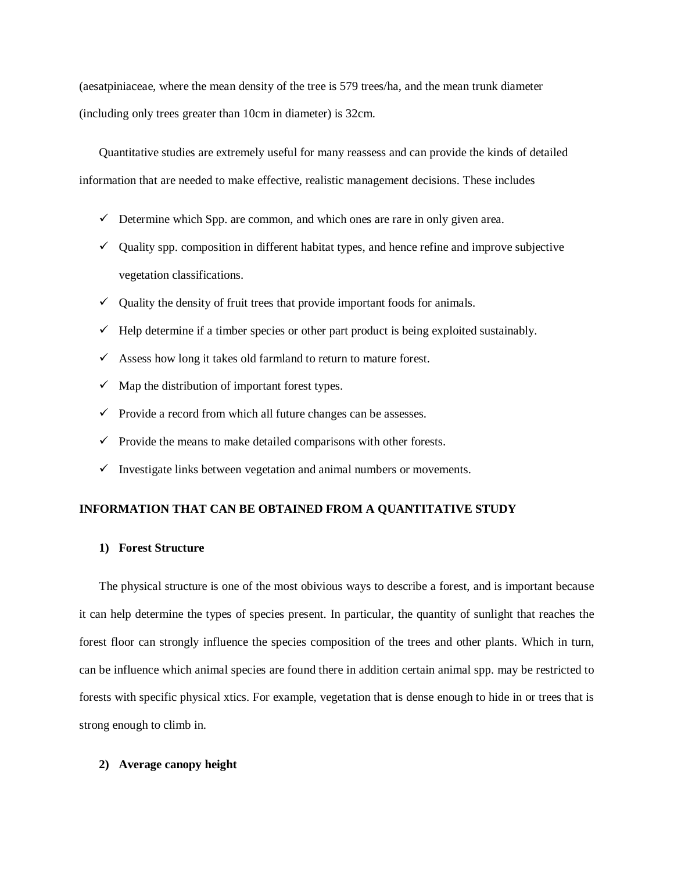(aesatpiniaceae, where the mean density of the tree is 579 trees/ha, and the mean trunk diameter (including only trees greater than 10cm in diameter) is 32cm.

Quantitative studies are extremely useful for many reassess and can provide the kinds of detailed information that are needed to make effective, realistic management decisions. These includes

- $\checkmark$  Determine which Spp. are common, and which ones are rare in only given area.
- $\checkmark$  Quality spp. composition in different habitat types, and hence refine and improve subjective vegetation classifications.
- $\checkmark$  Quality the density of fruit trees that provide important foods for animals.
- $\checkmark$  Help determine if a timber species or other part product is being exploited sustainably.
- $\checkmark$  Assess how long it takes old farmland to return to mature forest.
- $\checkmark$  Map the distribution of important forest types.
- $\checkmark$  Provide a record from which all future changes can be assesses.
- $\checkmark$  Provide the means to make detailed comparisons with other forests.
- $\checkmark$  Investigate links between vegetation and animal numbers or movements.

# **INFORMATION THAT CAN BE OBTAINED FROM A QUANTITATIVE STUDY**

#### **1) Forest Structure**

The physical structure is one of the most obivious ways to describe a forest, and is important because it can help determine the types of species present. In particular, the quantity of sunlight that reaches the forest floor can strongly influence the species composition of the trees and other plants. Which in turn, can be influence which animal species are found there in addition certain animal spp. may be restricted to forests with specific physical xtics. For example, vegetation that is dense enough to hide in or trees that is strong enough to climb in.

# **2) Average canopy height**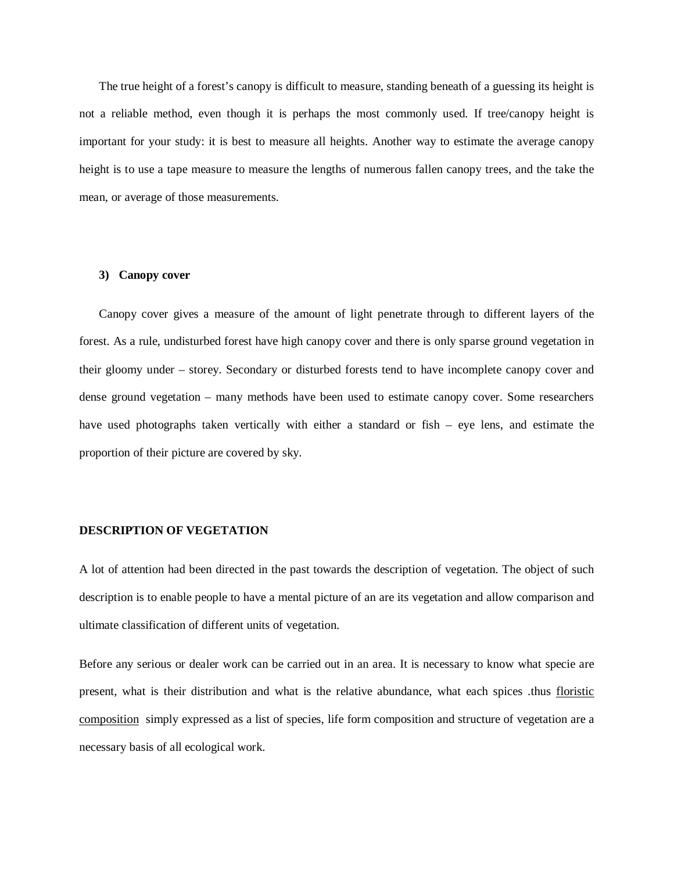The true height of a forest's canopy is difficult to measure, standing beneath of a guessing its height is not a reliable method, even though it is perhaps the most commonly used. If tree/canopy height is important for your study: it is best to measure all heights. Another way to estimate the average canopy height is to use a tape measure to measure the lengths of numerous fallen canopy trees, and the take the mean, or average of those measurements.

#### **3) Canopy cover**

Canopy cover gives a measure of the amount of light penetrate through to different layers of the forest. As a rule, undisturbed forest have high canopy cover and there is only sparse ground vegetation in their gloomy under – storey. Secondary or disturbed forests tend to have incomplete canopy cover and dense ground vegetation – many methods have been used to estimate canopy cover. Some researchers have used photographs taken vertically with either a standard or fish – eye lens, and estimate the proportion of their picture are covered by sky.

#### **DESCRIPTION OF VEGETATION**

A lot of attention had been directed in the past towards the description of vegetation. The object of such description is to enable people to have a mental picture of an are its vegetation and allow comparison and ultimate classification of different units of vegetation.

Before any serious or dealer work can be carried out in an area. It is necessary to know what specie are present, what is their distribution and what is the relative abundance, what each spices .thus floristic composition simply expressed as a list of species, life form composition and structure of vegetation are a necessary basis of all ecological work.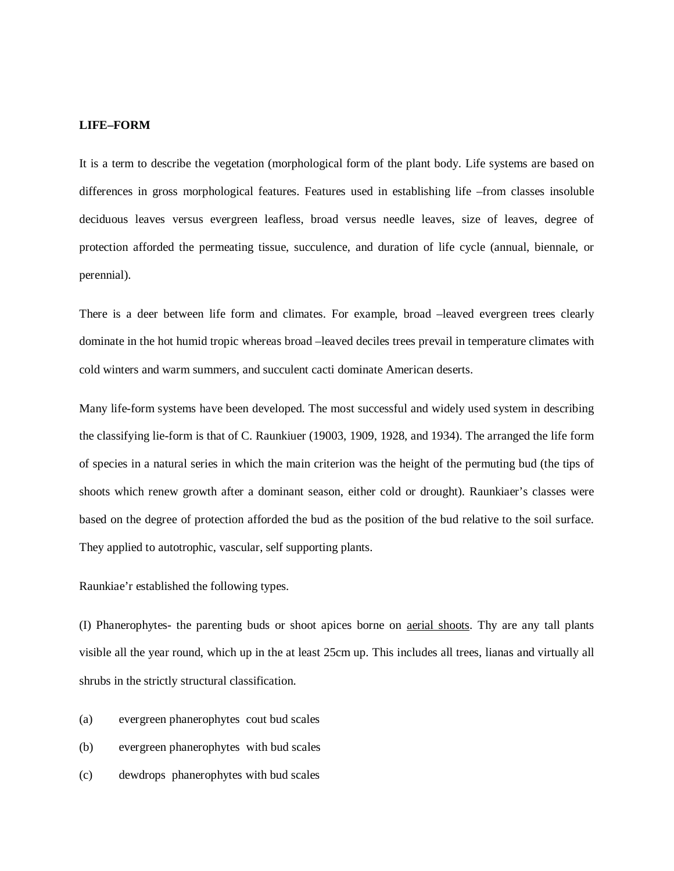#### **LIFE–FORM**

It is a term to describe the vegetation (morphological form of the plant body. Life systems are based on differences in gross morphological features. Features used in establishing life –from classes insoluble deciduous leaves versus evergreen leafless, broad versus needle leaves, size of leaves, degree of protection afforded the permeating tissue, succulence, and duration of life cycle (annual, biennale, or perennial).

There is a deer between life form and climates. For example, broad –leaved evergreen trees clearly dominate in the hot humid tropic whereas broad –leaved deciles trees prevail in temperature climates with cold winters and warm summers, and succulent cacti dominate American deserts.

Many life-form systems have been developed. The most successful and widely used system in describing the classifying lie-form is that of C. Raunkiuer (19003, 1909, 1928, and 1934). The arranged the life form of species in a natural series in which the main criterion was the height of the permuting bud (the tips of shoots which renew growth after a dominant season, either cold or drought). Raunkiaer's classes were based on the degree of protection afforded the bud as the position of the bud relative to the soil surface. They applied to autotrophic, vascular, self supporting plants.

Raunkiae'r established the following types.

(I) Phanerophytes- the parenting buds or shoot apices borne on aerial shoots. Thy are any tall plants visible all the year round, which up in the at least 25cm up. This includes all trees, lianas and virtually all shrubs in the strictly structural classification.

- (a) evergreen phanerophytes cout bud scales
- (b) evergreen phanerophytes with bud scales
- (c) dewdrops phanerophytes with bud scales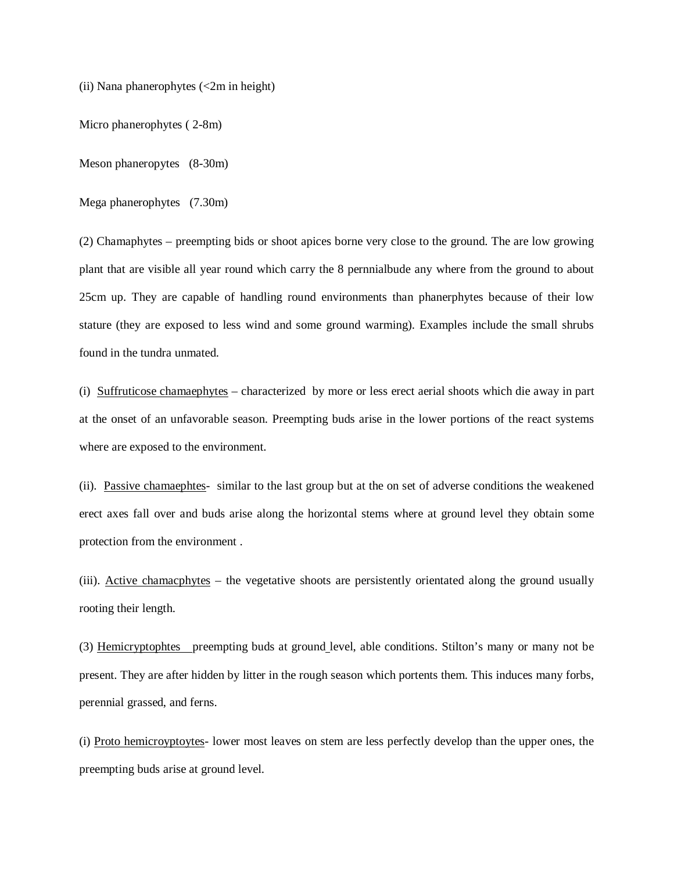(ii) Nana phanerophytes (<2m in height)

Micro phanerophytes ( 2-8m)

Meson phaneropytes (8-30m)

Mega phanerophytes (7.30m)

(2) Chamaphytes – preempting bids or shoot apices borne very close to the ground. The are low growing plant that are visible all year round which carry the 8 pernnialbude any where from the ground to about 25cm up. They are capable of handling round environments than phanerphytes because of their low stature (they are exposed to less wind and some ground warming). Examples include the small shrubs found in the tundra unmated.

(i) Suffruticose chamaephytes – characterized by more or less erect aerial shoots which die away in part at the onset of an unfavorable season. Preempting buds arise in the lower portions of the react systems where are exposed to the environment.

(ii). Passive chamaephtes- similar to the last group but at the on set of adverse conditions the weakened erect axes fall over and buds arise along the horizontal stems where at ground level they obtain some protection from the environment .

(iii). Active chamacphytes – the vegetative shoots are persistently orientated along the ground usually rooting their length.

(3) Hemicryptophtes preempting buds at ground level, able conditions. Stilton's many or many not be present. They are after hidden by litter in the rough season which portents them. This induces many forbs, perennial grassed, and ferns.

(i) Proto hemicroyptoytes- lower most leaves on stem are less perfectly develop than the upper ones, the preempting buds arise at ground level.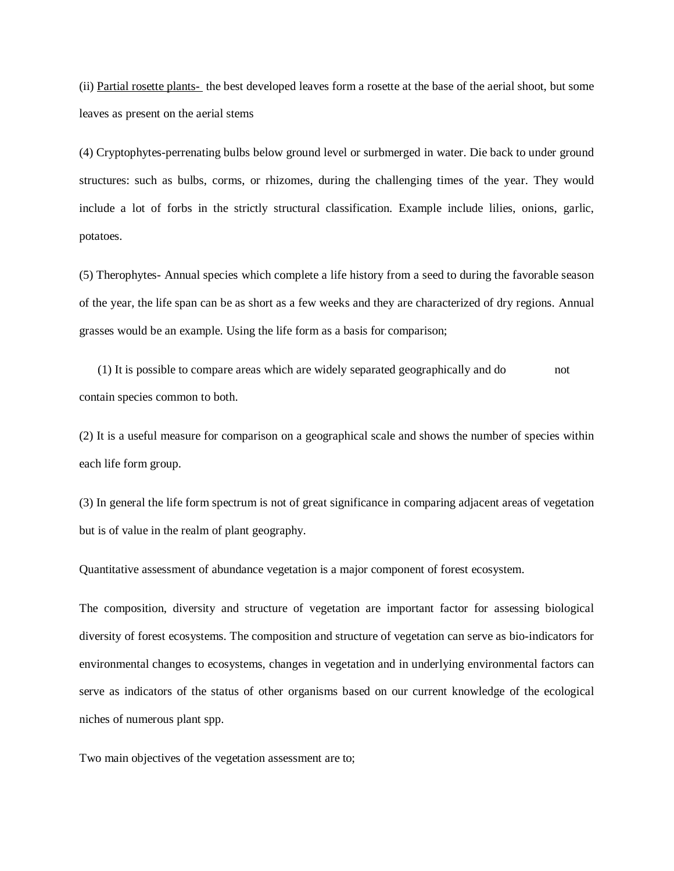(ii) Partial rosette plants- the best developed leaves form a rosette at the base of the aerial shoot, but some leaves as present on the aerial stems

(4) Cryptophytes-perrenating bulbs below ground level or surbmerged in water. Die back to under ground structures: such as bulbs, corms, or rhizomes, during the challenging times of the year. They would include a lot of forbs in the strictly structural classification. Example include lilies, onions, garlic, potatoes.

(5) Therophytes- Annual species which complete a life history from a seed to during the favorable season of the year, the life span can be as short as a few weeks and they are characterized of dry regions. Annual grasses would be an example. Using the life form as a basis for comparison;

 (1) It is possible to compare areas which are widely separated geographically and do not contain species common to both.

(2) It is a useful measure for comparison on a geographical scale and shows the number of species within each life form group.

(3) In general the life form spectrum is not of great significance in comparing adjacent areas of vegetation but is of value in the realm of plant geography.

Quantitative assessment of abundance vegetation is a major component of forest ecosystem.

The composition, diversity and structure of vegetation are important factor for assessing biological diversity of forest ecosystems. The composition and structure of vegetation can serve as bio-indicators for environmental changes to ecosystems, changes in vegetation and in underlying environmental factors can serve as indicators of the status of other organisms based on our current knowledge of the ecological niches of numerous plant spp.

Two main objectives of the vegetation assessment are to;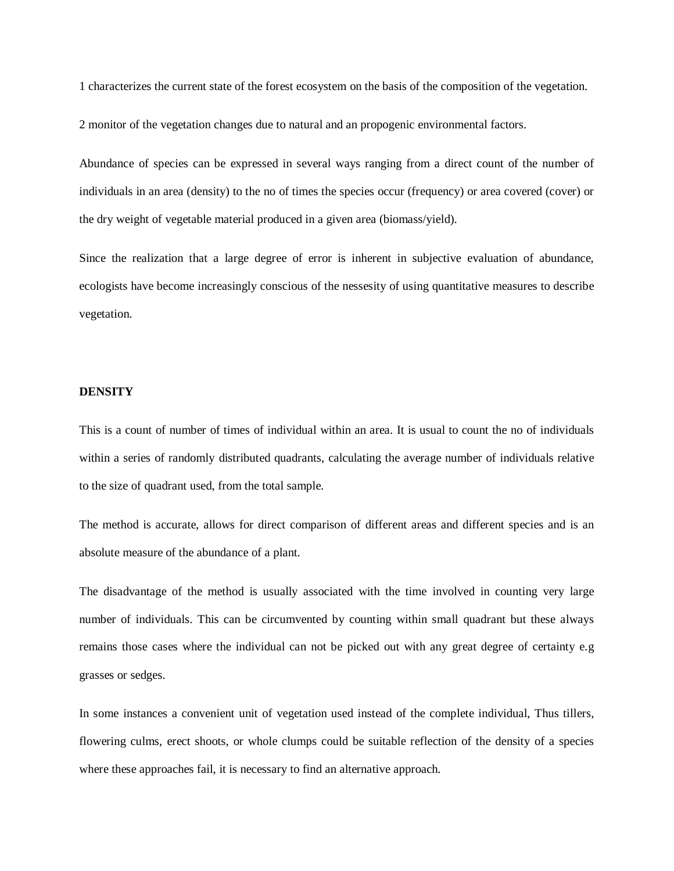1 characterizes the current state of the forest ecosystem on the basis of the composition of the vegetation.

2 monitor of the vegetation changes due to natural and an propogenic environmental factors.

Abundance of species can be expressed in several ways ranging from a direct count of the number of individuals in an area (density) to the no of times the species occur (frequency) or area covered (cover) or the dry weight of vegetable material produced in a given area (biomass/yield).

Since the realization that a large degree of error is inherent in subjective evaluation of abundance, ecologists have become increasingly conscious of the nessesity of using quantitative measures to describe vegetation.

#### **DENSITY**

This is a count of number of times of individual within an area. It is usual to count the no of individuals within a series of randomly distributed quadrants, calculating the average number of individuals relative to the size of quadrant used, from the total sample.

The method is accurate, allows for direct comparison of different areas and different species and is an absolute measure of the abundance of a plant.

The disadvantage of the method is usually associated with the time involved in counting very large number of individuals. This can be circumvented by counting within small quadrant but these always remains those cases where the individual can not be picked out with any great degree of certainty e.g grasses or sedges.

In some instances a convenient unit of vegetation used instead of the complete individual, Thus tillers, flowering culms, erect shoots, or whole clumps could be suitable reflection of the density of a species where these approaches fail, it is necessary to find an alternative approach.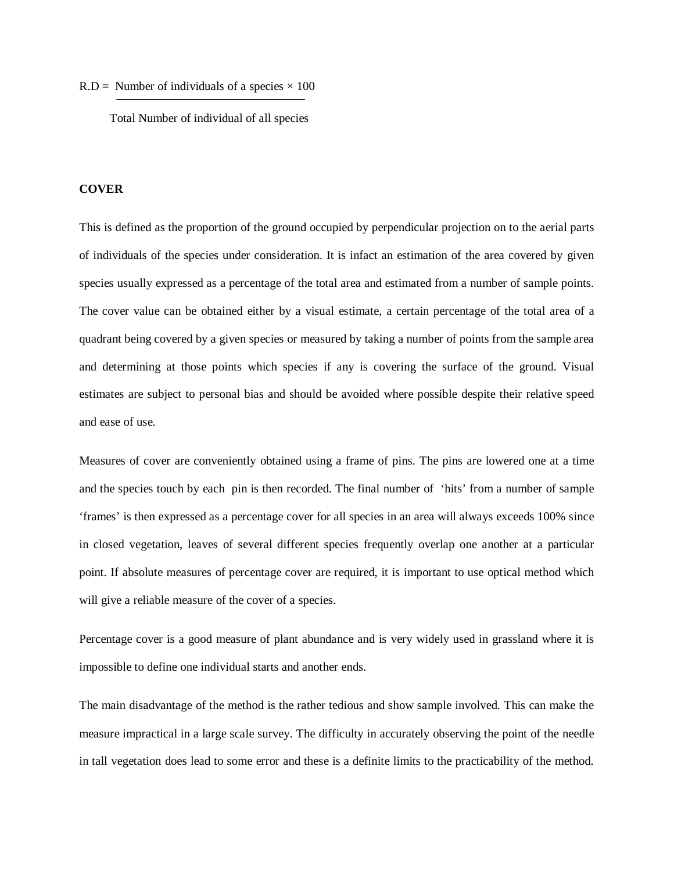$R.D =$  Number of individuals of a species  $\times 100$ 

Total Number of individual of all species

#### **COVER**

This is defined as the proportion of the ground occupied by perpendicular projection on to the aerial parts of individuals of the species under consideration. It is infact an estimation of the area covered by given species usually expressed as a percentage of the total area and estimated from a number of sample points. The cover value can be obtained either by a visual estimate, a certain percentage of the total area of a quadrant being covered by a given species or measured by taking a number of points from the sample area and determining at those points which species if any is covering the surface of the ground. Visual estimates are subject to personal bias and should be avoided where possible despite their relative speed and ease of use.

Measures of cover are conveniently obtained using a frame of pins. The pins are lowered one at a time and the species touch by each pin is then recorded. The final number of 'hits' from a number of sample 'frames' is then expressed as a percentage cover for all species in an area will always exceeds 100% since in closed vegetation, leaves of several different species frequently overlap one another at a particular point. If absolute measures of percentage cover are required, it is important to use optical method which will give a reliable measure of the cover of a species.

Percentage cover is a good measure of plant abundance and is very widely used in grassland where it is impossible to define one individual starts and another ends.

The main disadvantage of the method is the rather tedious and show sample involved. This can make the measure impractical in a large scale survey. The difficulty in accurately observing the point of the needle in tall vegetation does lead to some error and these is a definite limits to the practicability of the method.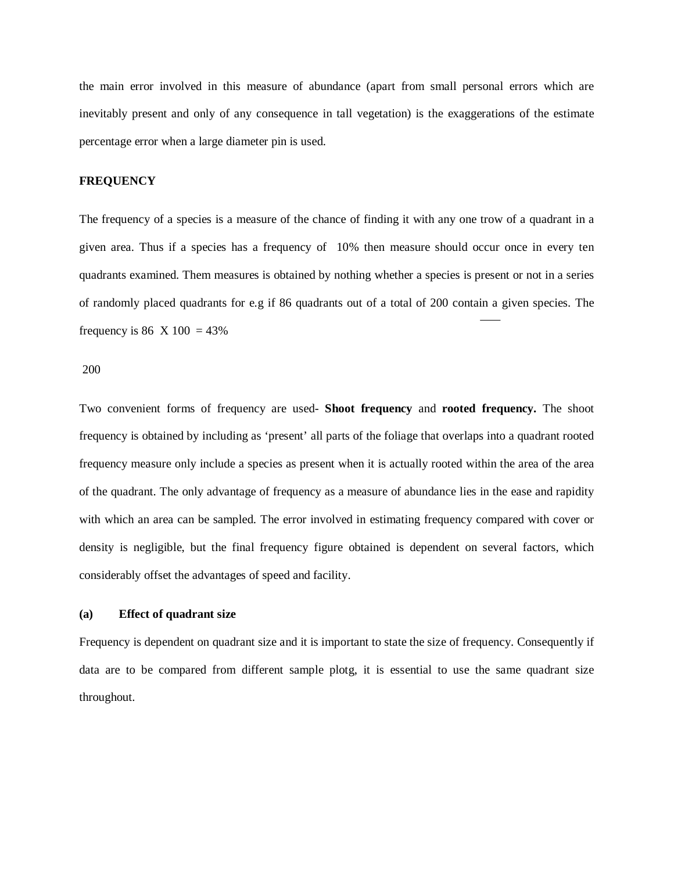the main error involved in this measure of abundance (apart from small personal errors which are inevitably present and only of any consequence in tall vegetation) is the exaggerations of the estimate percentage error when a large diameter pin is used.

# **FREQUENCY**

The frequency of a species is a measure of the chance of finding it with any one trow of a quadrant in a given area. Thus if a species has a frequency of 10% then measure should occur once in every ten quadrants examined. Them measures is obtained by nothing whether a species is present or not in a series of randomly placed quadrants for e.g if 86 quadrants out of a total of 200 contain a given species. The frequency is 86 X 100 = 43%

200

Two convenient forms of frequency are used- **Shoot frequency** and **rooted frequency.** The shoot frequency is obtained by including as 'present' all parts of the foliage that overlaps into a quadrant rooted frequency measure only include a species as present when it is actually rooted within the area of the area of the quadrant. The only advantage of frequency as a measure of abundance lies in the ease and rapidity with which an area can be sampled. The error involved in estimating frequency compared with cover or density is negligible, but the final frequency figure obtained is dependent on several factors, which considerably offset the advantages of speed and facility.

#### **(a) Effect of quadrant size**

Frequency is dependent on quadrant size and it is important to state the size of frequency. Consequently if data are to be compared from different sample plotg, it is essential to use the same quadrant size throughout.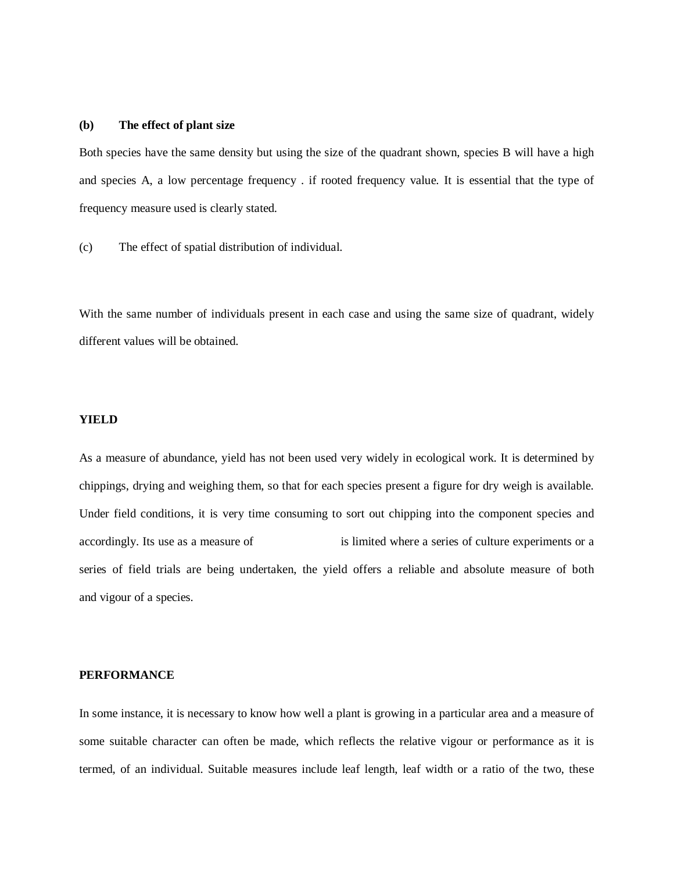# **(b) The effect of plant size**

Both species have the same density but using the size of the quadrant shown, species B will have a high and species A, a low percentage frequency . if rooted frequency value. It is essential that the type of frequency measure used is clearly stated.

(c) The effect of spatial distribution of individual.

With the same number of individuals present in each case and using the same size of quadrant, widely different values will be obtained.

# **YIELD**

As a measure of abundance, yield has not been used very widely in ecological work. It is determined by chippings, drying and weighing them, so that for each species present a figure for dry weigh is available. Under field conditions, it is very time consuming to sort out chipping into the component species and accordingly. Its use as a measure of is limited where a series of culture experiments or a series of field trials are being undertaken, the yield offers a reliable and absolute measure of both and vigour of a species.

# **PERFORMANCE**

In some instance, it is necessary to know how well a plant is growing in a particular area and a measure of some suitable character can often be made, which reflects the relative vigour or performance as it is termed, of an individual. Suitable measures include leaf length, leaf width or a ratio of the two, these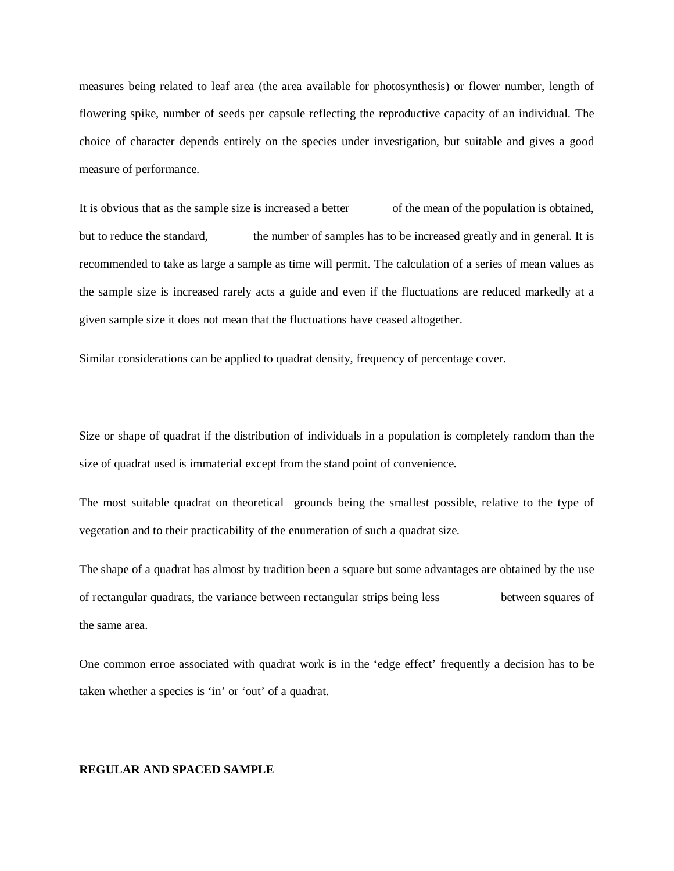measures being related to leaf area (the area available for photosynthesis) or flower number, length of flowering spike, number of seeds per capsule reflecting the reproductive capacity of an individual. The choice of character depends entirely on the species under investigation, but suitable and gives a good measure of performance.

It is obvious that as the sample size is increased a better of the mean of the population is obtained, but to reduce the standard, the number of samples has to be increased greatly and in general. It is recommended to take as large a sample as time will permit. The calculation of a series of mean values as the sample size is increased rarely acts a guide and even if the fluctuations are reduced markedly at a given sample size it does not mean that the fluctuations have ceased altogether.

Similar considerations can be applied to quadrat density, frequency of percentage cover.

Size or shape of quadrat if the distribution of individuals in a population is completely random than the size of quadrat used is immaterial except from the stand point of convenience.

The most suitable quadrat on theoretical grounds being the smallest possible, relative to the type of vegetation and to their practicability of the enumeration of such a quadrat size.

The shape of a quadrat has almost by tradition been a square but some advantages are obtained by the use of rectangular quadrats, the variance between rectangular strips being less between squares of the same area.

One common erroe associated with quadrat work is in the 'edge effect' frequently a decision has to be taken whether a species is 'in' or 'out' of a quadrat.

## **REGULAR AND SPACED SAMPLE**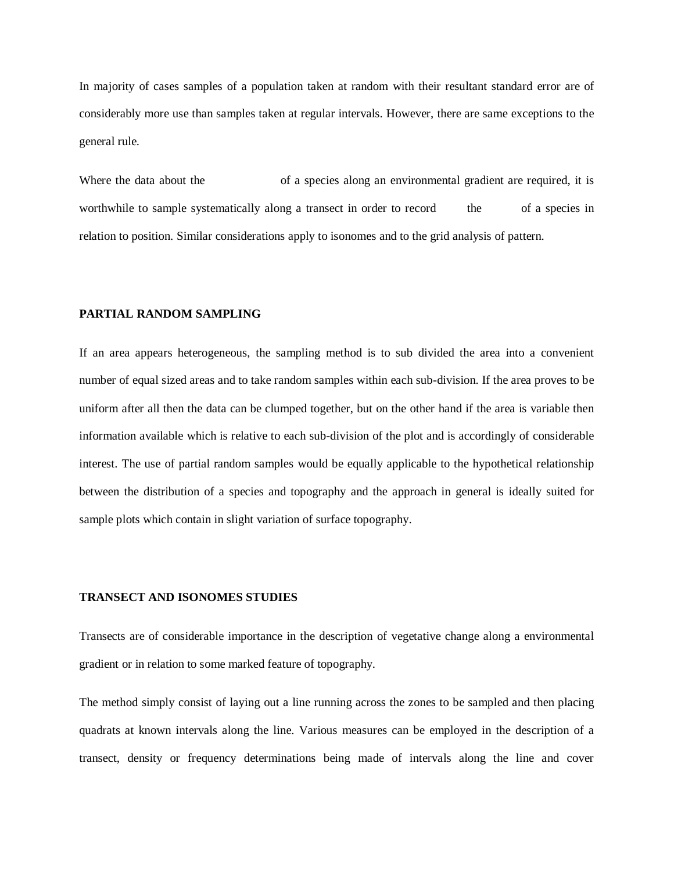In majority of cases samples of a population taken at random with their resultant standard error are of considerably more use than samples taken at regular intervals. However, there are same exceptions to the general rule.

Where the data about the of a species along an environmental gradient are required, it is worthwhile to sample systematically along a transect in order to record the of a species in relation to position. Similar considerations apply to isonomes and to the grid analysis of pattern.

# **PARTIAL RANDOM SAMPLING**

If an area appears heterogeneous, the sampling method is to sub divided the area into a convenient number of equal sized areas and to take random samples within each sub-division. If the area proves to be uniform after all then the data can be clumped together, but on the other hand if the area is variable then information available which is relative to each sub-division of the plot and is accordingly of considerable interest. The use of partial random samples would be equally applicable to the hypothetical relationship between the distribution of a species and topography and the approach in general is ideally suited for sample plots which contain in slight variation of surface topography.

#### **TRANSECT AND ISONOMES STUDIES**

Transects are of considerable importance in the description of vegetative change along a environmental gradient or in relation to some marked feature of topography.

The method simply consist of laying out a line running across the zones to be sampled and then placing quadrats at known intervals along the line. Various measures can be employed in the description of a transect, density or frequency determinations being made of intervals along the line and cover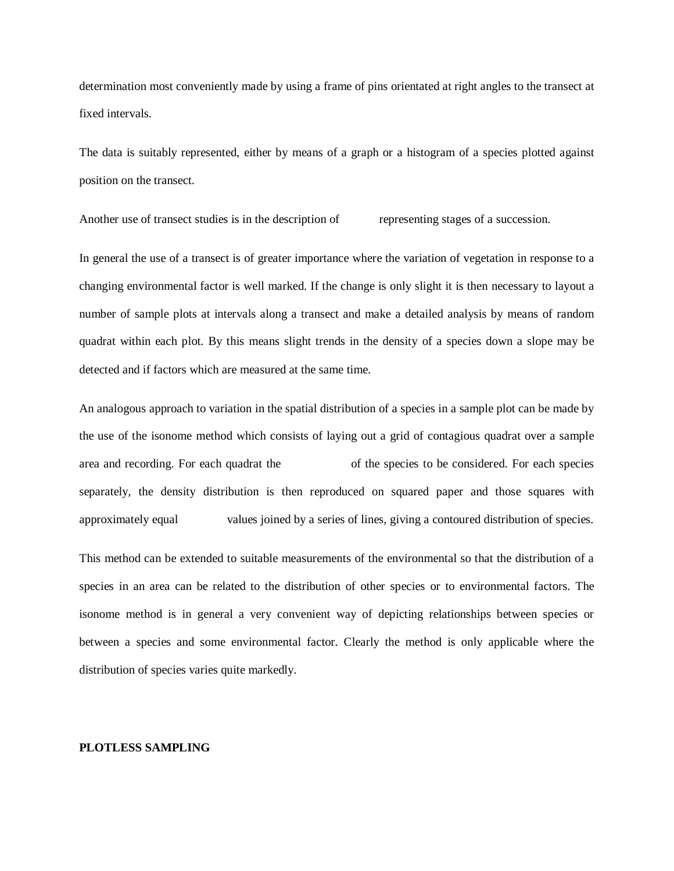determination most conveniently made by using a frame of pins orientated at right angles to the transect at fixed intervals.

The data is suitably represented, either by means of a graph or a histogram of a species plotted against position on the transect.

Another use of transect studies is in the description of representing stages of a succession.

In general the use of a transect is of greater importance where the variation of vegetation in response to a changing environmental factor is well marked. If the change is only slight it is then necessary to layout a number of sample plots at intervals along a transect and make a detailed analysis by means of random quadrat within each plot. By this means slight trends in the density of a species down a slope may be detected and if factors which are measured at the same time.

An analogous approach to variation in the spatial distribution of a species in a sample plot can be made by the use of the isonome method which consists of laying out a grid of contagious quadrat over a sample area and recording. For each quadrat the of the species to be considered. For each species separately, the density distribution is then reproduced on squared paper and those squares with approximately equal values joined by a series of lines, giving a contoured distribution of species.

This method can be extended to suitable measurements of the environmental so that the distribution of a species in an area can be related to the distribution of other species or to environmental factors. The isonome method is in general a very convenient way of depicting relationships between species or between a species and some environmental factor. Clearly the method is only applicable where the distribution of species varies quite markedly.

#### **PLOTLESS SAMPLING**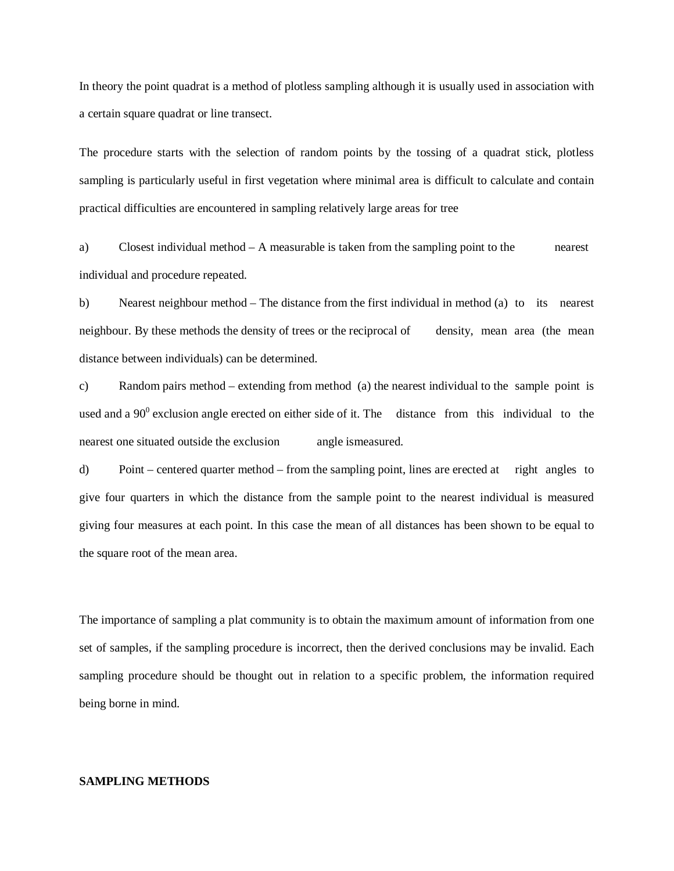In theory the point quadrat is a method of plotless sampling although it is usually used in association with a certain square quadrat or line transect.

The procedure starts with the selection of random points by the tossing of a quadrat stick, plotless sampling is particularly useful in first vegetation where minimal area is difficult to calculate and contain practical difficulties are encountered in sampling relatively large areas for tree

a) Closest individual method – A measurable is taken from the sampling point to the nearest individual and procedure repeated.

b) Nearest neighbour method – The distance from the first individual in method (a) to its nearest neighbour. By these methods the density of trees or the reciprocal of density, mean area (the mean distance between individuals) can be determined.

c) Random pairs method – extending from method (a) the nearest individual to the sample point is used and a  $90^{\circ}$  exclusion angle erected on either side of it. The distance from this individual to the nearest one situated outside the exclusion angle ismeasured.

d) Point – centered quarter method – from the sampling point, lines are erected at right angles to give four quarters in which the distance from the sample point to the nearest individual is measured giving four measures at each point. In this case the mean of all distances has been shown to be equal to the square root of the mean area.

The importance of sampling a plat community is to obtain the maximum amount of information from one set of samples, if the sampling procedure is incorrect, then the derived conclusions may be invalid. Each sampling procedure should be thought out in relation to a specific problem, the information required being borne in mind.

#### **SAMPLING METHODS**